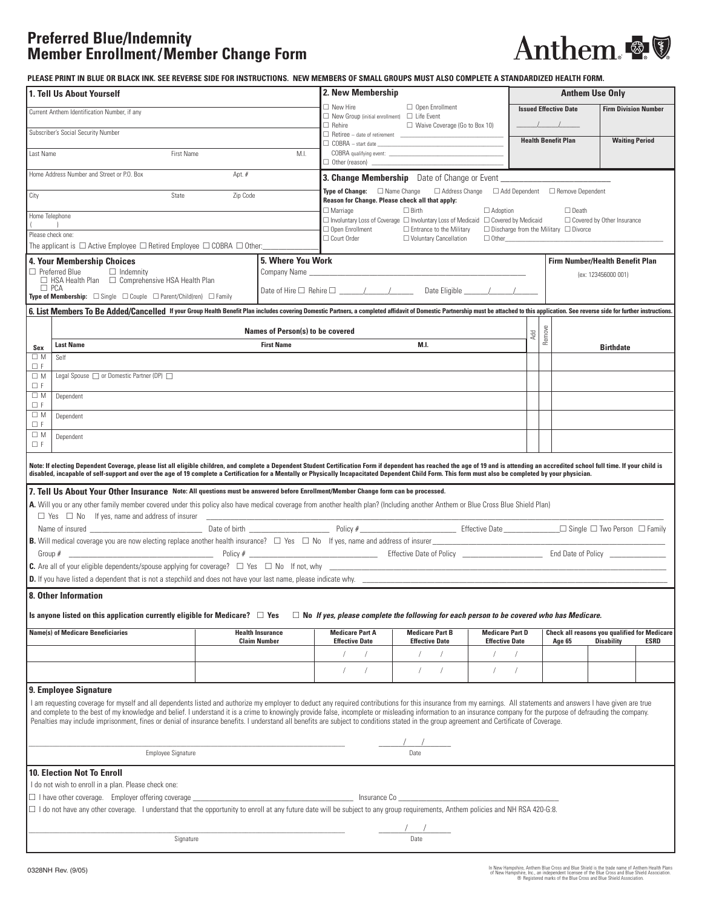# **Preferred Blue/Indemnity Member Enrollment/Member Change Form**



**PLEASE PRINT IN BLUE OR BLACK INK. SEE REVERSE SIDE FOR INSTRUCTIONS. NEW MEMBERS OF SMALL GROUPS MUST ALSO COMPLETE A STANDARDIZED HEALTH FORM.**

| 1. Tell Us About Yourself                                                                                                                                                                                                                                                                                                                                                                                                                 |                                                                                                                                                                                                               | 2. New Membership                                                                                                                                                  |                                                |            | <b>Anthem Use Only</b> |                                              |                                  |  |  |
|-------------------------------------------------------------------------------------------------------------------------------------------------------------------------------------------------------------------------------------------------------------------------------------------------------------------------------------------------------------------------------------------------------------------------------------------|---------------------------------------------------------------------------------------------------------------------------------------------------------------------------------------------------------------|--------------------------------------------------------------------------------------------------------------------------------------------------------------------|------------------------------------------------|------------|------------------------|----------------------------------------------|----------------------------------|--|--|
| Current Anthem Identification Number, if any                                                                                                                                                                                                                                                                                                                                                                                              |                                                                                                                                                                                                               | $\Box$ New Hire<br>$\Box$ New Group (initial enrollment) $\Box$ Life Event                                                                                         | $\Box$ Open Enrollment                         |            |                        | <b>Issued Effective Date</b>                 | <b>Firm Division Number</b>      |  |  |
| Subscriber's Social Security Number                                                                                                                                                                                                                                                                                                                                                                                                       |                                                                                                                                                                                                               | $\Box$ Rehire                                                                                                                                                      | $\Box$ Waive Coverage (Go to Box 10)           |            |                        |                                              |                                  |  |  |
| M.I.                                                                                                                                                                                                                                                                                                                                                                                                                                      |                                                                                                                                                                                                               | $\Box$ COBRA - start date $\Box$                                                                                                                                   |                                                |            |                        | <b>Health Benefit Plan</b>                   | <b>Waiting Period</b>            |  |  |
| First Name<br>Last Name                                                                                                                                                                                                                                                                                                                                                                                                                   | COBRA qualifying event:<br>$\Box$ Other (reason) $\Box$                                                                                                                                                       |                                                                                                                                                                    |                                                |            |                        |                                              |                                  |  |  |
| Home Address Number and Street or P.O. Box<br>Apt. $#$                                                                                                                                                                                                                                                                                                                                                                                    |                                                                                                                                                                                                               | 3. Change Membership Date of Change or Event ___________________________________                                                                                   |                                                |            |                        |                                              |                                  |  |  |
| State<br>Zip Code<br>City                                                                                                                                                                                                                                                                                                                                                                                                                 |                                                                                                                                                                                                               | <b>Type of Change:</b> $\Box$ Name Change<br>$\Box$ Address Change $\Box$ Add Dependent $\Box$ Remove Dependent<br>Reason for Change. Please check all that apply: |                                                |            |                        |                                              |                                  |  |  |
| Home Telephone                                                                                                                                                                                                                                                                                                                                                                                                                            | $\Box$ Marriage<br>$\Box$ Birth<br>$\Box$ Adoption<br>$\Box$ Death<br>$\Box$ Involuntary Loss of Coverage $\Box$ Involuntary Loss of Medicaid $\Box$ Covered by Medicaid<br>$\Box$ Covered by Other Insurance |                                                                                                                                                                    |                                                |            |                        |                                              |                                  |  |  |
| Please check one:                                                                                                                                                                                                                                                                                                                                                                                                                         | $\Box$ Open Enrollment<br>□ Entrance to the Military<br>$\Box$ Discharge from the Military $\Box$ Divorce                                                                                                     |                                                                                                                                                                    |                                                |            |                        |                                              |                                  |  |  |
| □ Court Order<br>□ Voluntary Cancellation<br>$\Box$ Other<br>The applicant is $\Box$ Active Employee $\Box$ Retired Employee $\Box$ COBRA $\Box$ Other:                                                                                                                                                                                                                                                                                   |                                                                                                                                                                                                               |                                                                                                                                                                    |                                                |            |                        |                                              |                                  |  |  |
| 4. Your Membership Choices                                                                                                                                                                                                                                                                                                                                                                                                                | <b>5. Where You Work</b>                                                                                                                                                                                      |                                                                                                                                                                    |                                                |            |                        | <b>Firm Number/Health Benefit Plan</b>       |                                  |  |  |
| $\Box$ Preferred Blue<br>$\Box$ Indemnity<br>$\Box$ HSA Health Plan $\Box$ Comprehensive HSA Health Plan                                                                                                                                                                                                                                                                                                                                  | Company Name                                                                                                                                                                                                  |                                                                                                                                                                    |                                                |            | (ex: 123456000 001)    |                                              |                                  |  |  |
| $\Box$ PCA<br><b>Type of Membership:</b> $\Box$ Single $\Box$ Couple $\Box$ Parent/Child(ren) $\Box$ Family                                                                                                                                                                                                                                                                                                                               |                                                                                                                                                                                                               |                                                                                                                                                                    |                                                |            |                        |                                              |                                  |  |  |
| 6. List Members To Be Added/Cancelled If your Group Health Benefit Plan includes covering Domestic Partners, a completed affidavit of Domestic Partnership must be attached to this application. See reverse side for further                                                                                                                                                                                                             |                                                                                                                                                                                                               |                                                                                                                                                                    |                                                |            |                        |                                              |                                  |  |  |
|                                                                                                                                                                                                                                                                                                                                                                                                                                           | Names of Person(s) to be covered                                                                                                                                                                              |                                                                                                                                                                    |                                                | Add        |                        |                                              |                                  |  |  |
| <b>Last Name</b><br>Sex                                                                                                                                                                                                                                                                                                                                                                                                                   | <b>First Name</b>                                                                                                                                                                                             |                                                                                                                                                                    | <b>M.I.</b>                                    |            | Remove                 |                                              | <b>Birthdate</b>                 |  |  |
| $\square$ M<br>Self<br>ΠF                                                                                                                                                                                                                                                                                                                                                                                                                 |                                                                                                                                                                                                               |                                                                                                                                                                    |                                                |            |                        |                                              |                                  |  |  |
| Legal Spouse nor Domestic Partner (DP) n<br>$\square$ M                                                                                                                                                                                                                                                                                                                                                                                   |                                                                                                                                                                                                               |                                                                                                                                                                    |                                                |            |                        |                                              |                                  |  |  |
| ΠF<br>$\square$ M<br>Dependent                                                                                                                                                                                                                                                                                                                                                                                                            |                                                                                                                                                                                                               |                                                                                                                                                                    |                                                |            |                        |                                              |                                  |  |  |
| $\Box$ F<br>$\square$ M<br>Dependent                                                                                                                                                                                                                                                                                                                                                                                                      |                                                                                                                                                                                                               |                                                                                                                                                                    |                                                |            |                        |                                              |                                  |  |  |
| ΠF                                                                                                                                                                                                                                                                                                                                                                                                                                        |                                                                                                                                                                                                               |                                                                                                                                                                    |                                                |            |                        |                                              |                                  |  |  |
| $\square$ M<br>Dependent<br>$\Box$ F                                                                                                                                                                                                                                                                                                                                                                                                      |                                                                                                                                                                                                               |                                                                                                                                                                    |                                                |            |                        |                                              |                                  |  |  |
| Note: If electing Dependent Coverage, please list all eligible children, and complete a Dependent Student Certification Form if dependent has reached the age of 19 and is attending an accredited school full time. If your c                                                                                                                                                                                                            |                                                                                                                                                                                                               |                                                                                                                                                                    |                                                |            |                        |                                              |                                  |  |  |
| disabled, incapable of self-support and over the age of 19 complete a Certification for a Mentally or Physically Incapacitated Dependent Child Form. This form must also be completed by your physician.                                                                                                                                                                                                                                  |                                                                                                                                                                                                               |                                                                                                                                                                    |                                                |            |                        |                                              |                                  |  |  |
| 7. Tell Us About Your Other Insurance Note: All questions must be answered before Enrollment/Member Change form can be processed.                                                                                                                                                                                                                                                                                                         |                                                                                                                                                                                                               |                                                                                                                                                                    |                                                |            |                        |                                              |                                  |  |  |
| A. Will you or any other family member covered under this policy also have medical coverage from another health plan? (Including another Anthem or Blue Cross Blue Shield Plan)<br>$\Box$ Yes $\Box$ No If yes, name and address of insurer                                                                                                                                                                                               |                                                                                                                                                                                                               |                                                                                                                                                                    |                                                |            |                        |                                              |                                  |  |  |
| Name of insured                                                                                                                                                                                                                                                                                                                                                                                                                           |                                                                                                                                                                                                               |                                                                                                                                                                    |                                                |            |                        |                                              |                                  |  |  |
| <b>B.</b> Will medical coverage you are now electing replace another health insurance? $\Box$ Yes $\Box$ No If yes, name and address of insurer<br>Policy # Policy # Policy A Policy A Policy A Policy A Policy A Policy A Policy A Policy A Policy A Policy A Policy A Policy A Policy A Policy A Policy A Policy A Policy A Policy A Policy A Policy A Policy A Policy A Policy                                                         |                                                                                                                                                                                                               |                                                                                                                                                                    |                                                |            |                        |                                              |                                  |  |  |
| Group $#$                                                                                                                                                                                                                                                                                                                                                                                                                                 | <b>C.</b> Are all of your eligible dependents/spouse applying for coverage? $\Box$ Yes $\Box$ No If not, why                                                                                                  |                                                                                                                                                                    |                                                |            |                        |                                              |                                  |  |  |
| D. If you have listed a dependent that is not a stepchild and does not have your last name, please indicate why.                                                                                                                                                                                                                                                                                                                          |                                                                                                                                                                                                               |                                                                                                                                                                    |                                                |            |                        |                                              |                                  |  |  |
| 8. Other Information                                                                                                                                                                                                                                                                                                                                                                                                                      |                                                                                                                                                                                                               |                                                                                                                                                                    |                                                |            |                        |                                              |                                  |  |  |
| Is anyone listed on this application currently eligible for Medicare? $\square$ Yes<br>$\Box$ No If yes, please complete the following for each person to be covered who has Medicare.                                                                                                                                                                                                                                                    |                                                                                                                                                                                                               |                                                                                                                                                                    |                                                |            |                        |                                              |                                  |  |  |
| <b>Name(s) of Medicare Beneficiaries</b>                                                                                                                                                                                                                                                                                                                                                                                                  | <b>Medicare Part A</b>                                                                                                                                                                                        | <b>Medicare Part B</b><br><b>Medicare Part D</b>                                                                                                                   |                                                |            |                        | Check all reasons you qualified for Medicare |                                  |  |  |
|                                                                                                                                                                                                                                                                                                                                                                                                                                           | <b>Claim Number</b>                                                                                                                                                                                           | <b>Effective Date</b>                                                                                                                                              | <b>Effective Date</b><br><b>Effective Date</b> |            |                        | <b>Age 65</b>                                | <b>Disability</b><br><b>ESRD</b> |  |  |
|                                                                                                                                                                                                                                                                                                                                                                                                                                           |                                                                                                                                                                                                               |                                                                                                                                                                    |                                                |            |                        |                                              |                                  |  |  |
|                                                                                                                                                                                                                                                                                                                                                                                                                                           |                                                                                                                                                                                                               | $\sqrt{2}$<br>$\sqrt{2}$                                                                                                                                           | $\sqrt{2}$<br>$\sqrt{2}$                       | $\sqrt{2}$ |                        |                                              |                                  |  |  |
| 9. Employee Signature                                                                                                                                                                                                                                                                                                                                                                                                                     |                                                                                                                                                                                                               |                                                                                                                                                                    |                                                |            |                        |                                              |                                  |  |  |
| I am requesting coverage for myself and all dependents listed and authorize my employer to deduct any required contributions for this insurance from my earnings. All statements and answers I have given are true<br>and complete to the best of my knowledge and belief. I understand it is a crime to knowingly provide false, incomplete or misleading information to an insurance company for the purpose of defrauding the company. |                                                                                                                                                                                                               |                                                                                                                                                                    |                                                |            |                        |                                              |                                  |  |  |
| Penalties may include imprisonment, fines or denial of insurance benefits. I understand all benefits are subject to conditions stated in the group agreement and Certificate of Coverage.                                                                                                                                                                                                                                                 |                                                                                                                                                                                                               |                                                                                                                                                                    |                                                |            |                        |                                              |                                  |  |  |
| $\frac{1}{\sqrt{1-\frac{1}{2}}}\$                                                                                                                                                                                                                                                                                                                                                                                                         |                                                                                                                                                                                                               |                                                                                                                                                                    |                                                |            |                        |                                              |                                  |  |  |
| <b>Employee Signature</b>                                                                                                                                                                                                                                                                                                                                                                                                                 |                                                                                                                                                                                                               |                                                                                                                                                                    |                                                |            |                        |                                              |                                  |  |  |
| 10. Election Not To Enroll<br>I do not wish to enroll in a plan. Please check one:                                                                                                                                                                                                                                                                                                                                                        |                                                                                                                                                                                                               |                                                                                                                                                                    |                                                |            |                        |                                              |                                  |  |  |
| $\Box$ I have other coverage. Employer offering coverage $\Box$<br>Insurance Compared to the state of the state of the state of the state of the state of the state of the state o                                                                                                                                                                                                                                                        |                                                                                                                                                                                                               |                                                                                                                                                                    |                                                |            |                        |                                              |                                  |  |  |
| □ I do not have any other coverage. I understand that the opportunity to enroll at any future date will be subject to any group requirements, Anthem policies and NH RSA 420-G:8.                                                                                                                                                                                                                                                         |                                                                                                                                                                                                               |                                                                                                                                                                    |                                                |            |                        |                                              |                                  |  |  |
|                                                                                                                                                                                                                                                                                                                                                                                                                                           |                                                                                                                                                                                                               |                                                                                                                                                                    |                                                |            |                        |                                              |                                  |  |  |
| Signature                                                                                                                                                                                                                                                                                                                                                                                                                                 | $\overline{\text{Date}}$                                                                                                                                                                                      |                                                                                                                                                                    |                                                |            |                        |                                              |                                  |  |  |